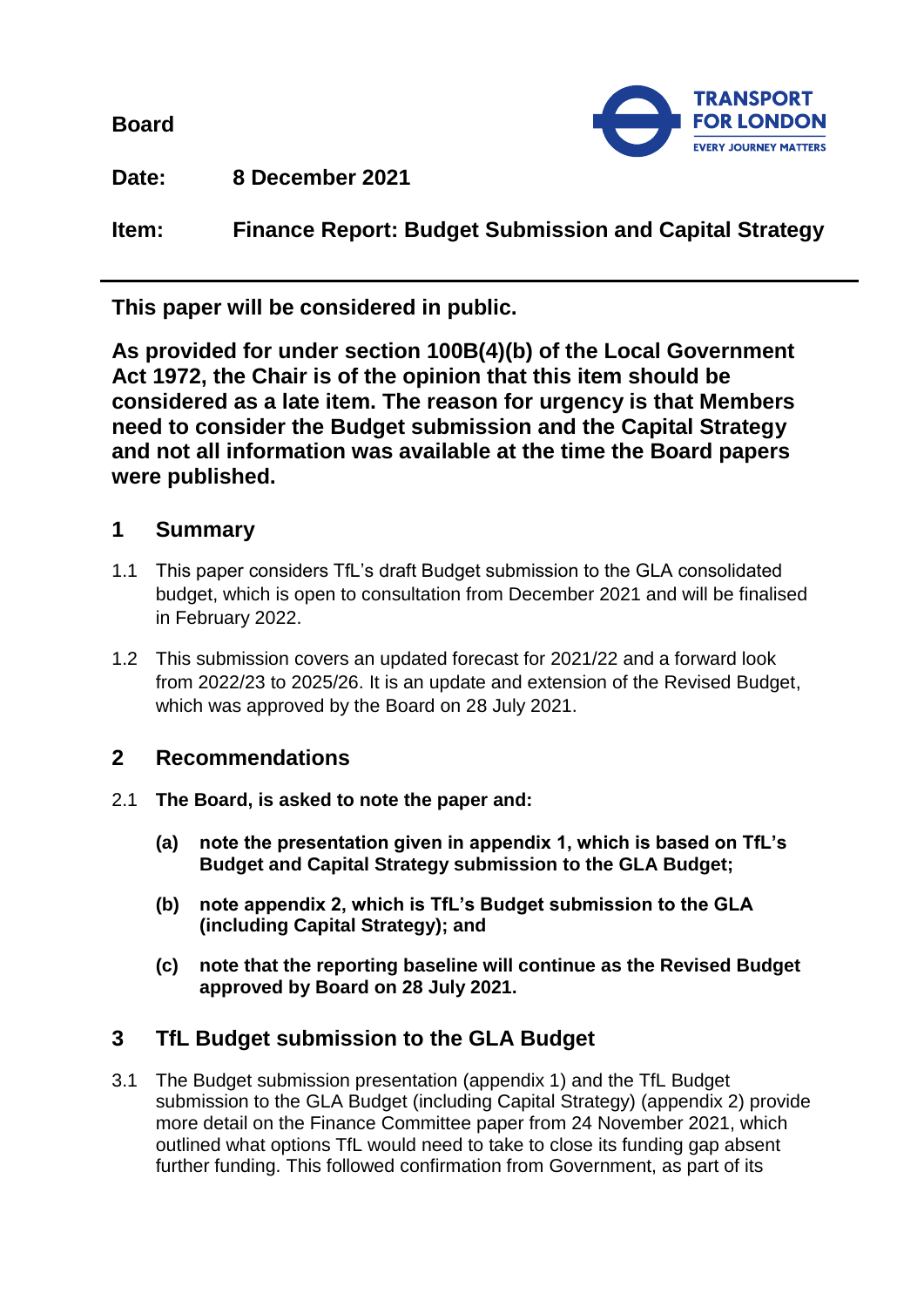**Board**



**Date: 8 December 2021**

**Item: Finance Report: Budget Submission and Capital Strategy**

**This paper will be considered in public.** 

**As provided for under section 100B(4)(b) of the Local Government Act 1972, the Chair is of the opinion that this item should be considered as a late item. The reason for urgency is that Members need to consider the Budget submission and the Capital Strategy and not all information was available at the time the Board papers were published.**

# **1 Summary**

- 1.1 This paper considers TfL's draft Budget submission to the GLA consolidated budget, which is open to consultation from December 2021 and will be finalised in February 2022.
- 1.2 This submission covers an updated forecast for 2021/22 and a forward look from 2022/23 to 2025/26. It is an update and extension of the Revised Budget, which was approved by the Board on 28 July 2021.

# **2 Recommendations**

- 2.1 **The Board, is asked to note the paper and:**
	- **(a) note the presentation given in appendix 1, which is based on TfL's Budget and Capital Strategy submission to the GLA Budget;**
	- **(b) note appendix 2, which is TfL's Budget submission to the GLA (including Capital Strategy); and**
	- **(c) note that the reporting baseline will continue as the Revised Budget approved by Board on 28 July 2021.**

## **3 TfL Budget submission to the GLA Budget**

3.1 The Budget submission presentation (appendix 1) and the TfL Budget submission to the GLA Budget (including Capital Strategy) (appendix 2) provide more detail on the Finance Committee paper from 24 November 2021, which outlined what options TfL would need to take to close its funding gap absent further funding. This followed confirmation from Government, as part of its